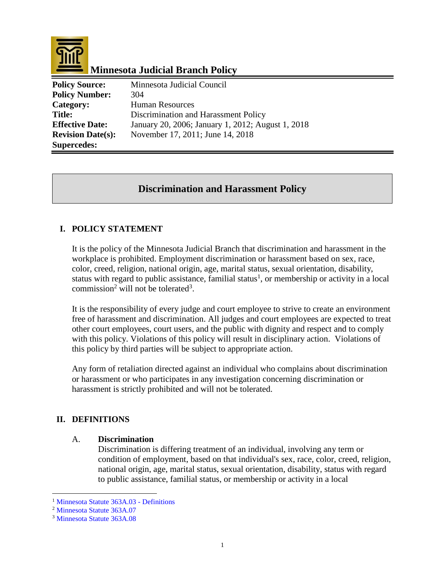

# **Minnesota Judicial Branch Policy**

| <b>Policy Source:</b>    | Minnesota Judicial Council                        |
|--------------------------|---------------------------------------------------|
| <b>Policy Number:</b>    | 304                                               |
| Category:                | Human Resources                                   |
| <b>Title:</b>            | Discrimination and Harassment Policy              |
| <b>Effective Date:</b>   | January 20, 2006; January 1, 2012; August 1, 2018 |
| <b>Revision Date(s):</b> | November 17, 2011; June 14, 2018                  |
| <b>Supercedes:</b>       |                                                   |

# **Discrimination and Harassment Policy**

## **I. POLICY STATEMENT**

It is the policy of the Minnesota Judicial Branch that discrimination and harassment in the workplace is prohibited. Employment discrimination or harassment based on sex, race, color, creed, religion, national origin, age, marital status, sexual orientation, disability, status with regard to public assistance, familial status<sup>1</sup>, or membership or activity in a local commission<sup>2</sup> will not be tolerated<sup>3</sup>.

It is the responsibility of every judge and court employee to strive to create an environment free of harassment and discrimination. All judges and court employees are expected to treat other court employees, court users, and the public with dignity and respect and to comply with this policy. Violations of this policy will result in disciplinary action. Violations of this policy by third parties will be subject to appropriate action.

Any form of retaliation directed against an individual who complains about discrimination or harassment or who participates in any investigation concerning discrimination or harassment is strictly prohibited and will not be tolerated.

## **II. DEFINITIONS**

#### A. **Discrimination**

Discrimination is differing treatment of an individual, involving any term or condition of employment, based on that individual's sex, race, color, creed, religion, national origin, age, marital status, sexual orientation, disability, status with regard to public assistance, familial status, or membership or activity in a local

 $\overline{a}$ 

<sup>1</sup> [Minnesota Statute 363A.03 -](https://www.revisor.mn.gov/statutes/?id=363A.03) Definitions

<sup>2</sup> [Minnesota Statute 363A.07](https://www.revisor.mn.gov/statutes/?id=363A.07)

<sup>3</sup> [Minnesota Statute 363A.08](https://www.revisor.mn.gov/statutes/cite/363A.08)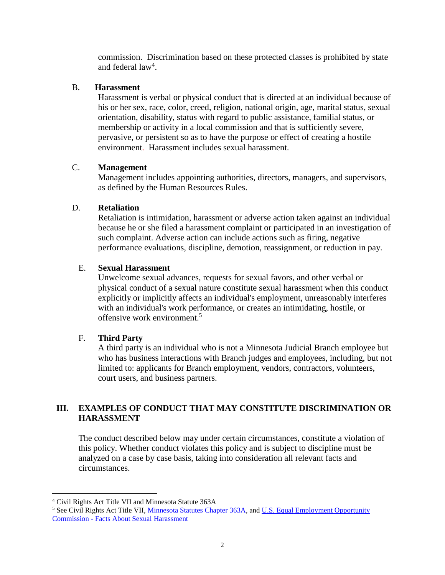commission. Discrimination based on these protected classes is prohibited by state and federal  $law<sup>4</sup>$ .

### B. **Harassment**

Harassment is verbal or physical conduct that is directed at an individual because of his or her sex, race, color, creed, religion, national origin, age, marital status, sexual orientation, disability, status with regard to public assistance, familial status, or membership or activity in a local commission and that is sufficiently severe, pervasive, or persistent so as to have the purpose or effect of creating a hostile environment. Harassment includes sexual harassment.

## C. **Management**

Management includes appointing authorities, directors, managers, and supervisors, as defined by the Human Resources Rules.

### D. **Retaliation**

Retaliation is intimidation, harassment or adverse action taken against an individual because he or she filed a harassment complaint or participated in an investigation of such complaint. Adverse action can include actions such as firing, negative performance evaluations, discipline, demotion, reassignment, or reduction in pay.

### E. **Sexual Harassment**

Unwelcome sexual advances, requests for sexual favors, and other verbal or physical conduct of a sexual nature constitute sexual harassment when this conduct explicitly or implicitly affects an individual's employment, unreasonably interferes with an individual's work performance, or creates an intimidating, hostile, or offensive work environment.<sup>5</sup>

## F. **Third Party**

A third party is an individual who is not a Minnesota Judicial Branch employee but who has business interactions with Branch judges and employees, including, but not limited to: applicants for Branch employment, vendors, contractors, volunteers, court users, and business partners.

## **III. EXAMPLES OF CONDUCT THAT MAY CONSTITUTE DISCRIMINATION OR HARASSMENT**

The conduct described below may under certain circumstances, constitute a violation of this policy. Whether conduct violates this policy and is subject to discipline must be analyzed on a case by case basis, taking into consideration all relevant facts and circumstances.

 $\overline{a}$ 

<sup>4</sup> Civil Rights Act Title VII and Minnesota Statute 363A

<sup>5</sup> See Civil Rights Act Title VII, [Minnesota Statutes Chapter 363A,](https://www.revisor.mn.gov/statutes/?id=363A) and [U.S. Equal Employment Opportunity](https://www.eeoc.gov/eeoc/publications/fs-sex.cfm)  Commission - [Facts About Sexual Harassment](https://www.eeoc.gov/eeoc/publications/fs-sex.cfm)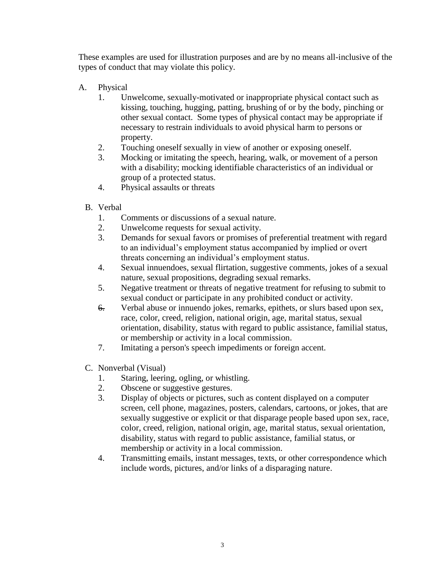These examples are used for illustration purposes and are by no means all-inclusive of the types of conduct that may violate this policy.

- A. Physical
	- 1. Unwelcome, sexually-motivated or inappropriate physical contact such as kissing, touching, hugging, patting, brushing of or by the body, pinching or other sexual contact. Some types of physical contact may be appropriate if necessary to restrain individuals to avoid physical harm to persons or property.
	- 2. Touching oneself sexually in view of another or exposing oneself.
	- 3. Mocking or imitating the speech, hearing, walk, or movement of a person with a disability; mocking identifiable characteristics of an individual or group of a protected status.
	- 4. Physical assaults or threats
	- B. Verbal
		- 1. Comments or discussions of a sexual nature.
		- 2. Unwelcome requests for sexual activity.
		- 3. Demands for sexual favors or promises of preferential treatment with regard to an individual's employment status accompanied by implied or overt threats concerning an individual's employment status.
		- 4. Sexual innuendoes, sexual flirtation, suggestive comments, jokes of a sexual nature, sexual propositions, degrading sexual remarks.
		- 5. Negative treatment or threats of negative treatment for refusing to submit to sexual conduct or participate in any prohibited conduct or activity.
		- 6. Verbal abuse or innuendo jokes, remarks, epithets, or slurs based upon sex, race, color, creed, religion, national origin, age, marital status, sexual orientation, disability, status with regard to public assistance, familial status, or membership or activity in a local commission.
		- 7. Imitating a person's speech impediments or foreign accent.
	- C. Nonverbal (Visual)
		- 1. Staring, leering, ogling, or whistling.
		- 2. Obscene or suggestive gestures.
		- 3. Display of objects or pictures, such as content displayed on a computer screen, cell phone, magazines, posters, calendars, cartoons, or jokes, that are sexually suggestive or explicit or that disparage people based upon sex, race, color, creed, religion, national origin, age, marital status, sexual orientation, disability, status with regard to public assistance, familial status, or membership or activity in a local commission.
		- 4. Transmitting emails, instant messages, texts, or other correspondence which include words, pictures, and/or links of a disparaging nature.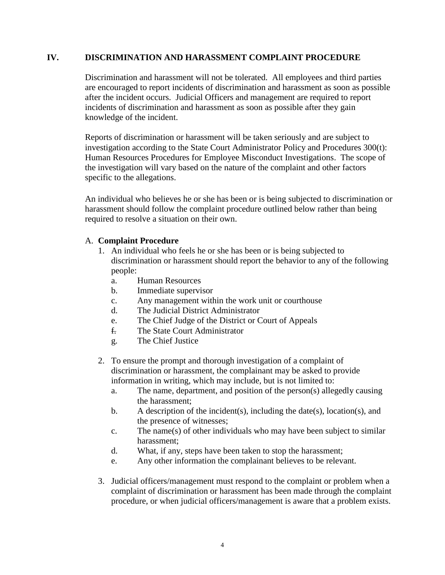#### **IV. DISCRIMINATION AND HARASSMENT COMPLAINT PROCEDURE**

Discrimination and harassment will not be tolerated. All employees and third parties are encouraged to report incidents of discrimination and harassment as soon as possible after the incident occurs. Judicial Officers and management are required to report incidents of discrimination and harassment as soon as possible after they gain knowledge of the incident.

Reports of discrimination or harassment will be taken seriously and are subject to investigation according to the State Court Administrator Policy and Procedures 300(t): Human Resources Procedures for Employee Misconduct Investigations. The scope of the investigation will vary based on the nature of the complaint and other factors specific to the allegations.

An individual who believes he or she has been or is being subjected to discrimination or harassment should follow the complaint procedure outlined below rather than being required to resolve a situation on their own.

#### A. **Complaint Procedure**

- 1. An individual who feels he or she has been or is being subjected to discrimination or harassment should report the behavior to any of the following people:
	- a. Human Resources
	- b. Immediate supervisor
	- c. Any management within the work unit or courthouse
	- d. The Judicial District Administrator
	- e. The Chief Judge of the District or Court of Appeals
	- f. The State Court Administrator
	- g. The Chief Justice
- 2. To ensure the prompt and thorough investigation of a complaint of discrimination or harassment, the complainant may be asked to provide information in writing, which may include, but is not limited to:
	- a. The name, department, and position of the person(s) allegedly causing the harassment;
	- b. A description of the incident(s), including the date(s), location(s), and the presence of witnesses;
	- c. The name(s) of other individuals who may have been subject to similar harassment;
	- d. What, if any, steps have been taken to stop the harassment;
	- e. Any other information the complainant believes to be relevant.
- 3. Judicial officers/management must respond to the complaint or problem when a complaint of discrimination or harassment has been made through the complaint procedure, or when judicial officers/management is aware that a problem exists.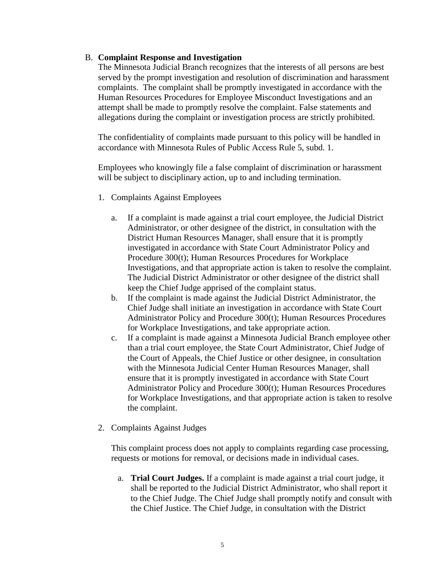#### B. **Complaint Response and Investigation**

The Minnesota Judicial Branch recognizes that the interests of all persons are best served by the prompt investigation and resolution of discrimination and harassment complaints. The complaint shall be promptly investigated in accordance with the Human Resources Procedures for Employee Misconduct Investigations and an attempt shall be made to promptly resolve the complaint. False statements and allegations during the complaint or investigation process are strictly prohibited.

The confidentiality of complaints made pursuant to this policy will be handled in accordance with Minnesota Rules of Public Access Rule 5, subd. 1.

Employees who knowingly file a false complaint of discrimination or harassment will be subject to disciplinary action, up to and including termination.

- 1. Complaints Against Employees
	- a. If a complaint is made against a trial court employee, the Judicial District Administrator, or other designee of the district, in consultation with the District Human Resources Manager, shall ensure that it is promptly investigated in accordance with State Court Administrator Policy and Procedure 300(t); Human Resources Procedures for Workplace Investigations, and that appropriate action is taken to resolve the complaint. The Judicial District Administrator or other designee of the district shall keep the Chief Judge apprised of the complaint status.
	- b. If the complaint is made against the Judicial District Administrator, the Chief Judge shall initiate an investigation in accordance with State Court Administrator Policy and Procedure 300(t); Human Resources Procedures for Workplace Investigations, and take appropriate action.
	- c. If a complaint is made against a Minnesota Judicial Branch employee other than a trial court employee, the State Court Administrator, Chief Judge of the Court of Appeals, the Chief Justice or other designee, in consultation with the Minnesota Judicial Center Human Resources Manager, shall ensure that it is promptly investigated in accordance with State Court Administrator Policy and Procedure 300(t); Human Resources Procedures for Workplace Investigations, and that appropriate action is taken to resolve the complaint.
- 2. Complaints Against Judges

This complaint process does not apply to complaints regarding case processing, requests or motions for removal, or decisions made in individual cases.

a. **Trial Court Judges.** If a complaint is made against a trial court judge, it shall be reported to the Judicial District Administrator, who shall report it to the Chief Judge. The Chief Judge shall promptly notify and consult with the Chief Justice. The Chief Judge, in consultation with the District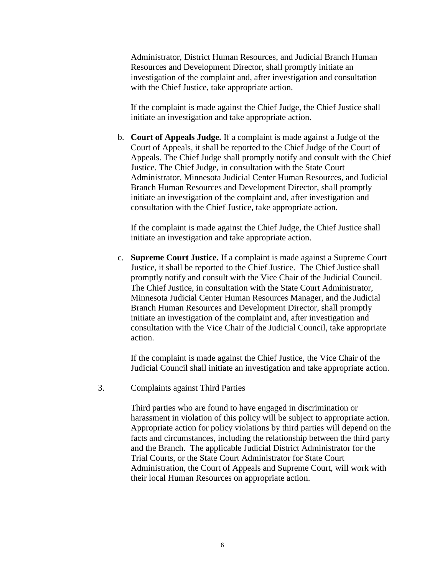Administrator, District Human Resources, and Judicial Branch Human Resources and Development Director, shall promptly initiate an investigation of the complaint and, after investigation and consultation with the Chief Justice, take appropriate action.

If the complaint is made against the Chief Judge, the Chief Justice shall initiate an investigation and take appropriate action.

b. **Court of Appeals Judge.** If a complaint is made against a Judge of the Court of Appeals, it shall be reported to the Chief Judge of the Court of Appeals. The Chief Judge shall promptly notify and consult with the Chief Justice. The Chief Judge, in consultation with the State Court Administrator, Minnesota Judicial Center Human Resources, and Judicial Branch Human Resources and Development Director, shall promptly initiate an investigation of the complaint and, after investigation and consultation with the Chief Justice, take appropriate action.

If the complaint is made against the Chief Judge, the Chief Justice shall initiate an investigation and take appropriate action.

c. **Supreme Court Justice.** If a complaint is made against a Supreme Court Justice, it shall be reported to the Chief Justice. The Chief Justice shall promptly notify and consult with the Vice Chair of the Judicial Council. The Chief Justice, in consultation with the State Court Administrator, Minnesota Judicial Center Human Resources Manager, and the Judicial Branch Human Resources and Development Director, shall promptly initiate an investigation of the complaint and, after investigation and consultation with the Vice Chair of the Judicial Council, take appropriate action.

If the complaint is made against the Chief Justice, the Vice Chair of the Judicial Council shall initiate an investigation and take appropriate action.

3. Complaints against Third Parties

Third parties who are found to have engaged in discrimination or harassment in violation of this policy will be subject to appropriate action. Appropriate action for policy violations by third parties will depend on the facts and circumstances, including the relationship between the third party and the Branch. The applicable Judicial District Administrator for the Trial Courts, or the State Court Administrator for State Court Administration, the Court of Appeals and Supreme Court, will work with their local Human Resources on appropriate action.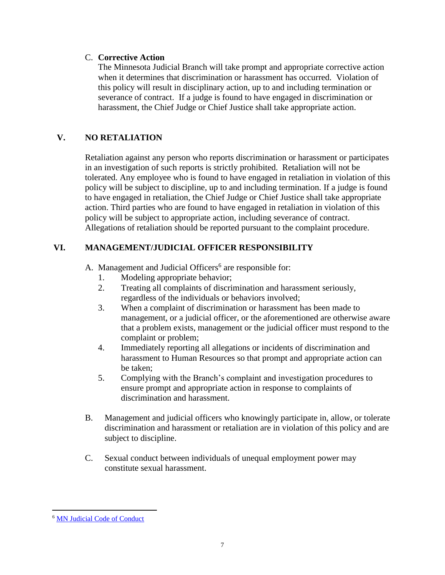### C. **Corrective Action**

The Minnesota Judicial Branch will take prompt and appropriate corrective action when it determines that discrimination or harassment has occurred. Violation of this policy will result in disciplinary action, up to and including termination or severance of contract. If a judge is found to have engaged in discrimination or harassment, the Chief Judge or Chief Justice shall take appropriate action.

## **V. NO RETALIATION**

Retaliation against any person who reports discrimination or harassment or participates in an investigation of such reports is strictly prohibited. Retaliation will not be tolerated. Any employee who is found to have engaged in retaliation in violation of this policy will be subject to discipline, up to and including termination. If a judge is found to have engaged in retaliation, the Chief Judge or Chief Justice shall take appropriate action. Third parties who are found to have engaged in retaliation in violation of this policy will be subject to appropriate action, including severance of contract. Allegations of retaliation should be reported pursuant to the complaint procedure.

## **VI. MANAGEMENT/JUDICIAL OFFICER RESPONSIBILITY**

A. Management and Judicial Officers<sup>6</sup> are responsible for:

- 1. Modeling appropriate behavior;
- 2. Treating all complaints of discrimination and harassment seriously, regardless of the individuals or behaviors involved;
- 3. When a complaint of discrimination or harassment has been made to management, or a judicial officer, or the aforementioned are otherwise aware that a problem exists, management or the judicial officer must respond to the complaint or problem;
- 4. Immediately reporting all allegations or incidents of discrimination and harassment to Human Resources so that prompt and appropriate action can be taken;
- 5. Complying with the Branch's complaint and investigation procedures to ensure prompt and appropriate action in response to complaints of discrimination and harassment.
- B. Management and judicial officers who knowingly participate in, allow, or tolerate discrimination and harassment or retaliation are in violation of this policy and are subject to discipline.
- C. Sexual conduct between individuals of unequal employment power may constitute sexual harassment.

 $\overline{a}$ 

<sup>6</sup> [MN Judicial Code of Conduct](https://www.revisor.mn.gov/court_rules/rule.php?name=prjudi-toh)